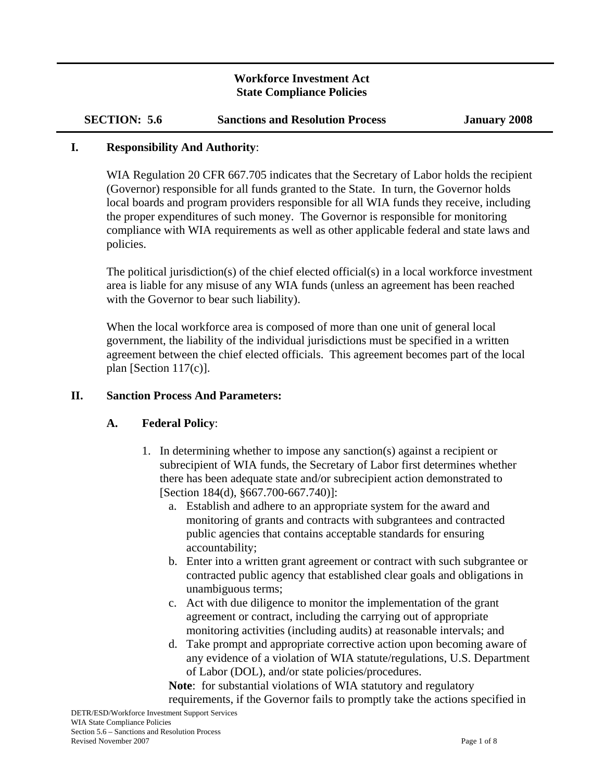### **Workforce Investment Act State Compliance Policies**

| <b>SECTION: 5.6</b> | <b>Sanctions and Resolution Process</b> |
|---------------------|-----------------------------------------|
|---------------------|-----------------------------------------|

#### **I. Responsibility And Authority**:

WIA Regulation 20 CFR 667.705 indicates that the Secretary of Labor holds the recipient (Governor) responsible for all funds granted to the State. In turn, the Governor holds local boards and program providers responsible for all WIA funds they receive, including the proper expenditures of such money. The Governor is responsible for monitoring compliance with WIA requirements as well as other applicable federal and state laws and policies.

The political jurisdiction(s) of the chief elected official(s) in a local workforce investment area is liable for any misuse of any WIA funds (unless an agreement has been reached with the Governor to bear such liability).

When the local workforce area is composed of more than one unit of general local government, the liability of the individual jurisdictions must be specified in a written agreement between the chief elected officials. This agreement becomes part of the local plan [Section 117(c)].

### **II. Sanction Process And Parameters:**

### **A. Federal Policy**:

- 1. In determining whether to impose any sanction(s) against a recipient or subrecipient of WIA funds, the Secretary of Labor first determines whether there has been adequate state and/or subrecipient action demonstrated to [Section 184(d), §667.700-667.740)]:
	- a. Establish and adhere to an appropriate system for the award and monitoring of grants and contracts with subgrantees and contracted public agencies that contains acceptable standards for ensuring accountability;
	- b. Enter into a written grant agreement or contract with such subgrantee or contracted public agency that established clear goals and obligations in unambiguous terms;
	- c. Act with due diligence to monitor the implementation of the grant agreement or contract, including the carrying out of appropriate monitoring activities (including audits) at reasonable intervals; and
	- d. Take prompt and appropriate corrective action upon becoming aware of any evidence of a violation of WIA statute/regulations, U.S. Department of Labor (DOL), and/or state policies/procedures.

**Note**: for substantial violations of WIA statutory and regulatory requirements, if the Governor fails to promptly take the actions specified in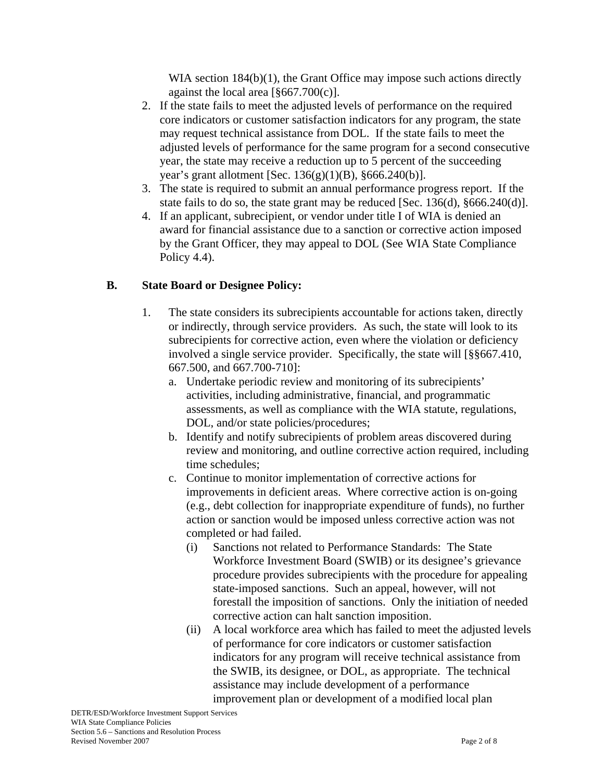WIA section 184(b)(1), the Grant Office may impose such actions directly against the local area [§667.700(c)].

- 2. If the state fails to meet the adjusted levels of performance on the required core indicators or customer satisfaction indicators for any program, the state may request technical assistance from DOL. If the state fails to meet the adjusted levels of performance for the same program for a second consecutive year, the state may receive a reduction up to 5 percent of the succeeding year's grant allotment [Sec.  $136(g)(1)(B)$ ,  $§666.240(b)$ ].
- 3. The state is required to submit an annual performance progress report. If the state fails to do so, the state grant may be reduced [Sec. 136(d), §666.240(d)].
- 4. If an applicant, subrecipient, or vendor under title I of WIA is denied an award for financial assistance due to a sanction or corrective action imposed by the Grant Officer, they may appeal to DOL (See WIA State Compliance Policy 4.4).

## **B. State Board or Designee Policy:**

- 1. The state considers its subrecipients accountable for actions taken, directly or indirectly, through service providers. As such, the state will look to its subrecipients for corrective action, even where the violation or deficiency involved a single service provider. Specifically, the state will [§§667.410, 667.500, and 667.700-710]:
	- a. Undertake periodic review and monitoring of its subrecipients' activities, including administrative, financial, and programmatic assessments, as well as compliance with the WIA statute, regulations, DOL, and/or state policies/procedures;
	- b. Identify and notify subrecipients of problem areas discovered during review and monitoring, and outline corrective action required, including time schedules;
	- c. Continue to monitor implementation of corrective actions for improvements in deficient areas. Where corrective action is on-going (e.g., debt collection for inappropriate expenditure of funds), no further action or sanction would be imposed unless corrective action was not completed or had failed.
		- (i) Sanctions not related to Performance Standards: The State Workforce Investment Board (SWIB) or its designee's grievance procedure provides subrecipients with the procedure for appealing state-imposed sanctions. Such an appeal, however, will not forestall the imposition of sanctions. Only the initiation of needed corrective action can halt sanction imposition.
		- (ii) A local workforce area which has failed to meet the adjusted levels of performance for core indicators or customer satisfaction indicators for any program will receive technical assistance from the SWIB, its designee, or DOL, as appropriate. The technical assistance may include development of a performance improvement plan or development of a modified local plan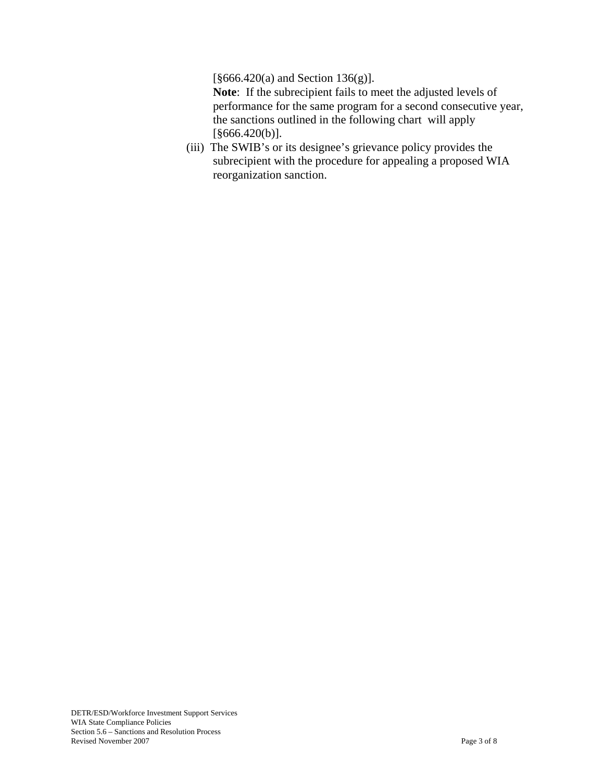[§666.420(a) and Section 136(g)].

**Note**: If the subrecipient fails to meet the adjusted levels of performance for the same program for a second consecutive year, the sanctions outlined in the following chart will apply [§666.420(b)].

(iii) The SWIB's or its designee's grievance policy provides the subrecipient with the procedure for appealing a proposed WIA reorganization sanction.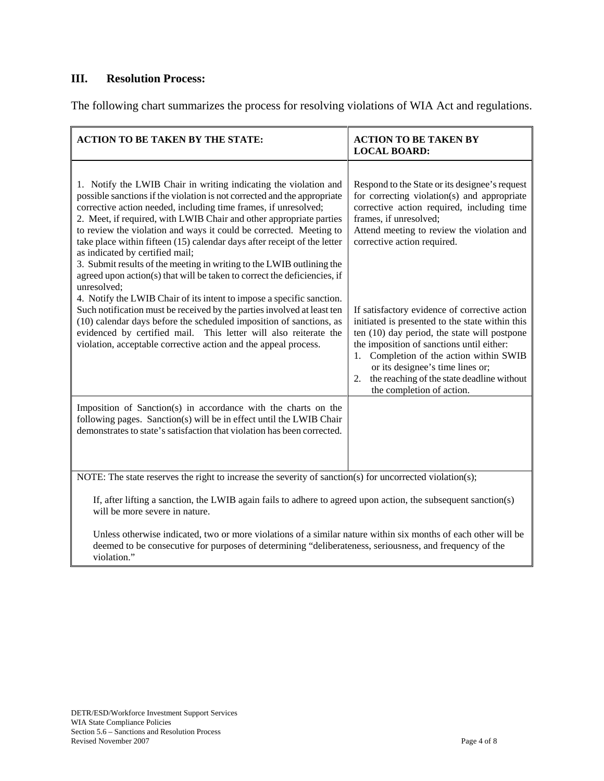### **III. Resolution Process:**

The following chart summarizes the process for resolving violations of WIA Act and regulations.

| <b>ACTION TO BE TAKEN BY THE STATE:</b>                                                                                                                                                                                                                                                                                                                                                                                                                                                                                                                                                                                                                                                                                                                                                                                                                                                                                                                                                                           | <b>ACTION TO BE TAKEN BY</b><br><b>LOCAL BOARD:</b>                                                                                                                                                                                                                                                                                                                                                                                                                                                                                                                                                                    |  |
|-------------------------------------------------------------------------------------------------------------------------------------------------------------------------------------------------------------------------------------------------------------------------------------------------------------------------------------------------------------------------------------------------------------------------------------------------------------------------------------------------------------------------------------------------------------------------------------------------------------------------------------------------------------------------------------------------------------------------------------------------------------------------------------------------------------------------------------------------------------------------------------------------------------------------------------------------------------------------------------------------------------------|------------------------------------------------------------------------------------------------------------------------------------------------------------------------------------------------------------------------------------------------------------------------------------------------------------------------------------------------------------------------------------------------------------------------------------------------------------------------------------------------------------------------------------------------------------------------------------------------------------------------|--|
| 1. Notify the LWIB Chair in writing indicating the violation and<br>possible sanctions if the violation is not corrected and the appropriate<br>corrective action needed, including time frames, if unresolved;<br>2. Meet, if required, with LWIB Chair and other appropriate parties<br>to review the violation and ways it could be corrected. Meeting to<br>take place within fifteen (15) calendar days after receipt of the letter<br>as indicated by certified mail;<br>3. Submit results of the meeting in writing to the LWIB outlining the<br>agreed upon action(s) that will be taken to correct the deficiencies, if<br>unresolved;<br>4. Notify the LWIB Chair of its intent to impose a specific sanction.<br>Such notification must be received by the parties involved at least ten<br>(10) calendar days before the scheduled imposition of sanctions, as<br>evidenced by certified mail. This letter will also reiterate the<br>violation, acceptable corrective action and the appeal process. | Respond to the State or its designee's request<br>for correcting violation(s) and appropriate<br>corrective action required, including time<br>frames, if unresolved;<br>Attend meeting to review the violation and<br>corrective action required.<br>If satisfactory evidence of corrective action<br>initiated is presented to the state within this<br>ten (10) day period, the state will postpone<br>the imposition of sanctions until either:<br>Completion of the action within SWIB<br>1.<br>or its designee's time lines or;<br>the reaching of the state deadline without<br>2.<br>the completion of action. |  |
| Imposition of Sanction(s) in accordance with the charts on the<br>following pages. Sanction(s) will be in effect until the LWIB Chair<br>demonstrates to state's satisfaction that violation has been corrected.                                                                                                                                                                                                                                                                                                                                                                                                                                                                                                                                                                                                                                                                                                                                                                                                  |                                                                                                                                                                                                                                                                                                                                                                                                                                                                                                                                                                                                                        |  |
| NOTE: The state reserves the right to increase the severity of sanction(s) for uncorrected violation(s);<br>If, after lifting a sanction, the LWIB again fails to adhere to agreed upon action, the subsequent sanction(s)<br>will be more severe in nature.                                                                                                                                                                                                                                                                                                                                                                                                                                                                                                                                                                                                                                                                                                                                                      |                                                                                                                                                                                                                                                                                                                                                                                                                                                                                                                                                                                                                        |  |

Unless otherwise indicated, two or more violations of a similar nature within six months of each other will be deemed to be consecutive for purposes of determining "deliberateness, seriousness, and frequency of the violation."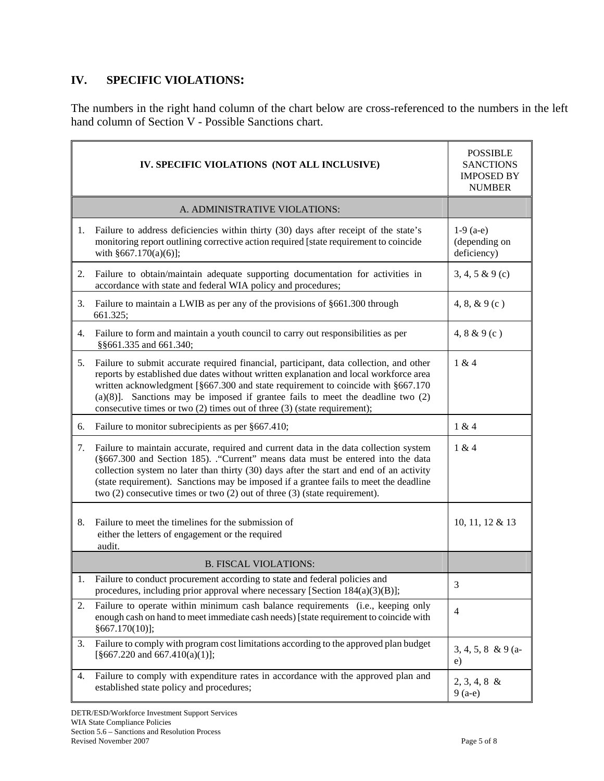### **IV. SPECIFIC VIOLATIONS:**

The numbers in the right hand column of the chart below are cross-referenced to the numbers in the left hand column of Section V - Possible Sanctions chart.

| IV. SPECIFIC VIOLATIONS (NOT ALL INCLUSIVE) |                                                                                                                                                                                                                                                                                                                                                                                                                                                   | <b>POSSIBLE</b><br><b>SANCTIONS</b><br><b>IMPOSED BY</b><br><b>NUMBER</b> |
|---------------------------------------------|---------------------------------------------------------------------------------------------------------------------------------------------------------------------------------------------------------------------------------------------------------------------------------------------------------------------------------------------------------------------------------------------------------------------------------------------------|---------------------------------------------------------------------------|
|                                             | A. ADMINISTRATIVE VIOLATIONS:                                                                                                                                                                                                                                                                                                                                                                                                                     |                                                                           |
| 1.                                          | Failure to address deficiencies within thirty (30) days after receipt of the state's<br>monitoring report outlining corrective action required [state requirement to coincide<br>with $§667.170(a)(6)$ ;                                                                                                                                                                                                                                          | $1-9$ (a-e)<br>(depending on<br>deficiency)                               |
| 2.                                          | Failure to obtain/maintain adequate supporting documentation for activities in<br>accordance with state and federal WIA policy and procedures;                                                                                                                                                                                                                                                                                                    | 3, 4, 5 & 9c                                                              |
| 3.                                          | Failure to maintain a LWIB as per any of the provisions of §661.300 through<br>661.325;                                                                                                                                                                                                                                                                                                                                                           | 4, 8, $& 9(c)$                                                            |
| 4.                                          | Failure to form and maintain a youth council to carry out responsibilities as per<br>§§661.335 and 661.340;                                                                                                                                                                                                                                                                                                                                       | 4, 8 & 9 (c)                                                              |
| 5.                                          | Failure to submit accurate required financial, participant, data collection, and other<br>reports by established due dates without written explanation and local workforce area<br>written acknowledgment [§667.300 and state requirement to coincide with §667.170<br>$(a)(8)$ ]. Sanctions may be imposed if grantee fails to meet the deadline two $(2)$<br>consecutive times or two $(2)$ times out of three $(3)$ (state requirement);       | 1 & 4                                                                     |
| 6.                                          | Failure to monitor subrecipients as per §667.410;                                                                                                                                                                                                                                                                                                                                                                                                 | 1 & 4                                                                     |
| 7.                                          | Failure to maintain accurate, required and current data in the data collection system<br>(§667.300 and Section 185). . "Current" means data must be entered into the data<br>collection system no later than thirty (30) days after the start and end of an activity<br>(state requirement). Sanctions may be imposed if a grantee fails to meet the deadline<br>two $(2)$ consecutive times or two $(2)$ out of three $(3)$ (state requirement). | 1 & 4                                                                     |
| 8.                                          | Failure to meet the timelines for the submission of<br>either the letters of engagement or the required<br>audit.                                                                                                                                                                                                                                                                                                                                 | 10, 11, 12 & 13                                                           |
| <b>B. FISCAL VIOLATIONS:</b>                |                                                                                                                                                                                                                                                                                                                                                                                                                                                   |                                                                           |
|                                             | Failure to conduct procurement according to state and federal policies and<br>procedures, including prior approval where necessary [Section 184(a)(3)(B)];                                                                                                                                                                                                                                                                                        | 3                                                                         |
| 2.                                          | Failure to operate within minimum cash balance requirements (i.e., keeping only<br>enough cash on hand to meet immediate cash needs) [state requirement to coincide with<br>§667.170(10)];                                                                                                                                                                                                                                                        | $\overline{4}$                                                            |
| 3.                                          | Failure to comply with program cost limitations according to the approved plan budget<br>$\S667.220$ and $667.410(a)(1)$ ;                                                                                                                                                                                                                                                                                                                        | $3, 4, 5, 8 \& 9 \ (a -$<br>e)                                            |
| 4.                                          | Failure to comply with expenditure rates in accordance with the approved plan and<br>established state policy and procedures;                                                                                                                                                                                                                                                                                                                     | $2, 3, 4, 8 \&$<br>$9(a-e)$                                               |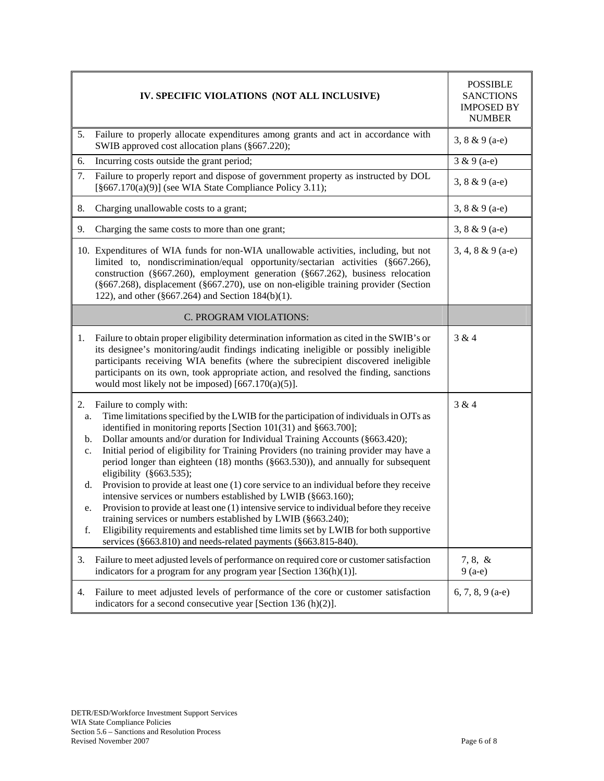|                                        | IV. SPECIFIC VIOLATIONS (NOT ALL INCLUSIVE)                                                                                                                                                                                                                                                                                                                                                                                                                                                                                                                                                                                                                                                                                                                                                                                                                                                                                                                           | <b>POSSIBLE</b><br><b>SANCTIONS</b><br><b>IMPOSED BY</b><br><b>NUMBER</b> |
|----------------------------------------|-----------------------------------------------------------------------------------------------------------------------------------------------------------------------------------------------------------------------------------------------------------------------------------------------------------------------------------------------------------------------------------------------------------------------------------------------------------------------------------------------------------------------------------------------------------------------------------------------------------------------------------------------------------------------------------------------------------------------------------------------------------------------------------------------------------------------------------------------------------------------------------------------------------------------------------------------------------------------|---------------------------------------------------------------------------|
| 5.                                     | Failure to properly allocate expenditures among grants and act in accordance with<br>SWIB approved cost allocation plans (§667.220);                                                                                                                                                                                                                                                                                                                                                                                                                                                                                                                                                                                                                                                                                                                                                                                                                                  | $3, 8 & 9 (a-e)$                                                          |
| 6.                                     | Incurring costs outside the grant period;                                                                                                                                                                                                                                                                                                                                                                                                                                                                                                                                                                                                                                                                                                                                                                                                                                                                                                                             | $3 & 9(a-e)$                                                              |
| 7.                                     | Failure to properly report and dispose of government property as instructed by DOL<br>$[§667.170(a)(9)]$ (see WIA State Compliance Policy 3.11);                                                                                                                                                                                                                                                                                                                                                                                                                                                                                                                                                                                                                                                                                                                                                                                                                      | 3, $8 & 9 (a-e)$                                                          |
| 8.                                     | Charging unallowable costs to a grant;                                                                                                                                                                                                                                                                                                                                                                                                                                                                                                                                                                                                                                                                                                                                                                                                                                                                                                                                | 3, $8 & 9 (a-e)$                                                          |
| 9.                                     | Charging the same costs to more than one grant;                                                                                                                                                                                                                                                                                                                                                                                                                                                                                                                                                                                                                                                                                                                                                                                                                                                                                                                       | 3, $8 & 9 (a-e)$                                                          |
|                                        | 10. Expenditures of WIA funds for non-WIA unallowable activities, including, but not<br>limited to, nondiscrimination/equal opportunity/sectarian activities (§667.266),<br>construction ( $§667.260$ ), employment generation ( $§667.262$ ), business relocation<br>(§667.268), displacement (§667.270), use on non-eligible training provider (Section<br>122), and other $(\S 667.264)$ and Section 184(b)(1).                                                                                                                                                                                                                                                                                                                                                                                                                                                                                                                                                    | $3, 4, 8 & 9 (a-e)$                                                       |
|                                        | C. PROGRAM VIOLATIONS:                                                                                                                                                                                                                                                                                                                                                                                                                                                                                                                                                                                                                                                                                                                                                                                                                                                                                                                                                |                                                                           |
| 1.                                     | Failure to obtain proper eligibility determination information as cited in the SWIB's or<br>its designee's monitoring/audit findings indicating ineligible or possibly ineligible<br>participants receiving WIA benefits (where the subrecipient discovered ineligible<br>participants on its own, took appropriate action, and resolved the finding, sanctions<br>would most likely not be imposed) $[667.170(a)(5)].$                                                                                                                                                                                                                                                                                                                                                                                                                                                                                                                                               | 3 & 4                                                                     |
| 2.<br>a.<br>b.<br>c.<br>d.<br>e.<br>f. | Failure to comply with:<br>Time limitations specified by the LWIB for the participation of individuals in OJTs as<br>identified in monitoring reports [Section 101(31) and §663.700];<br>Dollar amounts and/or duration for Individual Training Accounts (§663.420);<br>Initial period of eligibility for Training Providers (no training provider may have a<br>period longer than eighteen (18) months (§663.530)), and annually for subsequent<br>eligibility ( $§663.535$ );<br>Provision to provide at least one $(1)$ core service to an individual before they receive<br>intensive services or numbers established by LWIB (§663.160);<br>Provision to provide at least one (1) intensive service to individual before they receive<br>training services or numbers established by LWIB (§663.240);<br>Eligibility requirements and established time limits set by LWIB for both supportive<br>services (§663.810) and needs-related payments (§663.815-840). | 3 & 4                                                                     |
| 3.                                     | Failure to meet adjusted levels of performance on required core or customer satisfaction<br>indicators for a program for any program year [Section $136(h)(1)$ ].                                                                                                                                                                                                                                                                                                                                                                                                                                                                                                                                                                                                                                                                                                                                                                                                     | $7, 8, \&$<br>$9(a-e)$                                                    |
| 4.                                     | Failure to meet adjusted levels of performance of the core or customer satisfaction<br>indicators for a second consecutive year [Section 136 (h)(2)].                                                                                                                                                                                                                                                                                                                                                                                                                                                                                                                                                                                                                                                                                                                                                                                                                 | 6, 7, 8, 9 (a-e)                                                          |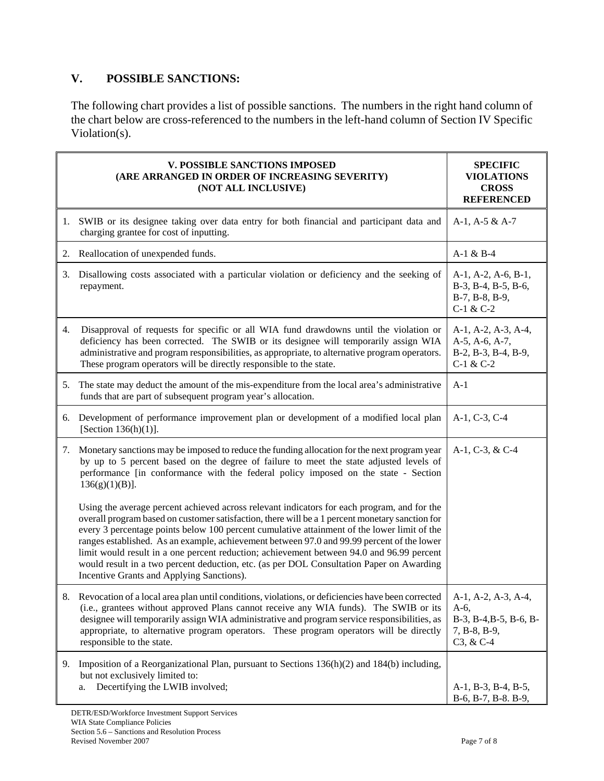# **V. POSSIBLE SANCTIONS:**

The following chart provides a list of possible sanctions. The numbers in the right hand column of the chart below are cross-referenced to the numbers in the left-hand column of Section IV Specific Violation(s).

|    | <b>V. POSSIBLE SANCTIONS IMPOSED</b><br>(ARE ARRANGED IN ORDER OF INCREASING SEVERITY)<br>(NOT ALL INCLUSIVE)                                                                                                                                                                                                                                                                                                                                                                                                                                                                                                                     | <b>SPECIFIC</b><br><b>VIOLATIONS</b><br><b>CROSS</b><br><b>REFERENCED</b>               |
|----|-----------------------------------------------------------------------------------------------------------------------------------------------------------------------------------------------------------------------------------------------------------------------------------------------------------------------------------------------------------------------------------------------------------------------------------------------------------------------------------------------------------------------------------------------------------------------------------------------------------------------------------|-----------------------------------------------------------------------------------------|
|    | 1. SWIB or its designee taking over data entry for both financial and participant data and<br>charging grantee for cost of inputting.                                                                                                                                                                                                                                                                                                                                                                                                                                                                                             | $A-1$ , $A-5 & A-7$                                                                     |
|    | 2. Reallocation of unexpended funds.                                                                                                                                                                                                                                                                                                                                                                                                                                                                                                                                                                                              | $A-1 & B-4$                                                                             |
|    | 3. Disallowing costs associated with a particular violation or deficiency and the seeking of<br>repayment.                                                                                                                                                                                                                                                                                                                                                                                                                                                                                                                        | A-1, A-2, A-6, B-1,<br>B-3, B-4, B-5, B-6,<br>B-7, B-8, B-9,<br>$C-1 & C-2$             |
| 4. | Disapproval of requests for specific or all WIA fund drawdowns until the violation or<br>deficiency has been corrected. The SWIB or its designee will temporarily assign WIA<br>administrative and program responsibilities, as appropriate, to alternative program operators.<br>These program operators will be directly responsible to the state.                                                                                                                                                                                                                                                                              | A-1, A-2, A-3, A-4,<br>$A-5$ , $A-6$ , $A-7$ ,<br>B-2, B-3, B-4, B-9,<br>$C-1 & C-2$    |
| 5. | The state may deduct the amount of the mis-expenditure from the local area's administrative<br>funds that are part of subsequent program year's allocation.                                                                                                                                                                                                                                                                                                                                                                                                                                                                       | $A-1$                                                                                   |
| 6. | Development of performance improvement plan or development of a modified local plan<br>[Section $136(h)(1)$ ].                                                                                                                                                                                                                                                                                                                                                                                                                                                                                                                    | A-1, C-3, C-4                                                                           |
| 7. | Monetary sanctions may be imposed to reduce the funding allocation for the next program year<br>by up to 5 percent based on the degree of failure to meet the state adjusted levels of<br>performance [in conformance with the federal policy imposed on the state - Section<br>$136(g)(1)(B)$ ].                                                                                                                                                                                                                                                                                                                                 | A-1, C-3, & C-4                                                                         |
|    | Using the average percent achieved across relevant indicators for each program, and for the<br>overall program based on customer satisfaction, there will be a 1 percent monetary sanction for<br>every 3 percentage points below 100 percent cumulative attainment of the lower limit of the<br>ranges established. As an example, achievement between 97.0 and 99.99 percent of the lower<br>limit would result in a one percent reduction; achievement between 94.0 and 96.99 percent<br>would result in a two percent deduction, etc. (as per DOL Consultation Paper on Awarding<br>Incentive Grants and Applying Sanctions). |                                                                                         |
| 8. | Revocation of a local area plan until conditions, violations, or deficiencies have been corrected<br>(i.e., grantees without approved Plans cannot receive any WIA funds). The SWIB or its<br>designee will temporarily assign WIA administrative and program service responsibilities, as<br>appropriate, to alternative program operators. These program operators will be directly<br>responsible to the state.                                                                                                                                                                                                                | A-1, A-2, A-3, A-4,<br>$A-6$ ,<br>B-3, B-4, B-5, B-6, B-<br>7, B-8, B-9,<br>$C3, & C-4$ |
| 9. | Imposition of a Reorganizational Plan, pursuant to Sections 136(h)(2) and 184(b) including,<br>but not exclusively limited to:<br>Decertifying the LWIB involved;<br>a.                                                                                                                                                                                                                                                                                                                                                                                                                                                           | A-1, B-3, B-4, B-5,<br>B-6, B-7, B-8. B-9,                                              |